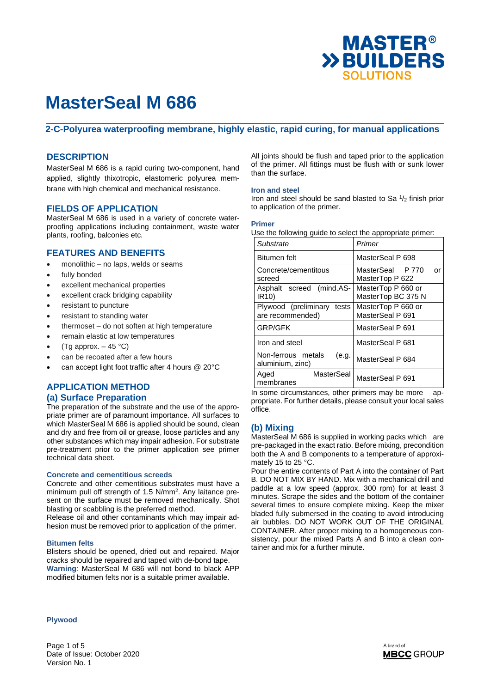

### **2-C-Polyurea waterproofing membrane, highly elastic, rapid curing, for manual applications**

#### **DESCRIPTION**

MasterSeal M 686 is a rapid curing two-component, hand applied, slightly thixotropic, elastomeric polyurea membrane with high chemical and mechanical resistance.

#### **FIELDS OF APPLICATION**

MasterSeal M 686 is used in a variety of concrete waterproofing applications including containment, waste water plants, roofing, balconies etc.

#### **FEATURES AND BENEFITS**

- monolithic no laps, welds or seams
- fully bonded
- excellent mechanical properties
- excellent crack bridging capability
- resistant to puncture
- resistant to standing water
- thermoset do not soften at high temperature
- remain elastic at low temperatures
- (Tg approx.  $-45$  °C)
- can be recoated after a few hours
- can accept light foot traffic after 4 hours @ 20°C

## **APPLICATION METHOD**

## **(a) Surface Preparation**

The preparation of the substrate and the use of the appropriate primer are of paramount importance. All surfaces to which MasterSeal M 686 is applied should be sound, clean and dry and free from oil or grease, loose particles and any other substances which may impair adhesion. For substrate pre-treatment prior to the primer application see primer technical data sheet.

#### **Concrete and cementitious screeds**

Concrete and other cementitious substrates must have a minimum pull off strength of 1.5 N/mm<sup>2</sup>. Any laitance present on the surface must be removed mechanically. Shot blasting or scabbling is the preferred method.

Release oil and other contaminants which may impair adhesion must be removed prior to application of the primer.

#### **Bitumen felts**

Blisters should be opened, dried out and repaired. Major cracks should be repaired and taped with de-bond tape. **Warning**: MasterSeal M 686 will not bond to black APP modified bitumen felts nor is a suitable primer available.

All joints should be flush and taped prior to the application of the primer. All fittings must be flush with or sunk lower than the surface.

#### **Iron and steel**

Iron and steel should be sand blasted to Sa <sup>1</sup> /2 finish prior to application of the primer.

#### **Primer**

Use the following guide to select the appropriate primer:

| Substrate                                       | Primer                                    |  |  |
|-------------------------------------------------|-------------------------------------------|--|--|
| <b>Bitumen</b> felt                             | MasterSeal P 698                          |  |  |
| Concrete/cementitous<br>screed                  | MasterSeal P 770<br>or<br>MasterTop P 622 |  |  |
| Asphalt screed (mind.AS-<br>IR <sub>10</sub> )  | MasterTop P 660 or<br>MasterTop BC 375 N  |  |  |
| Plywood (preliminary tests<br>are recommended)  | MasterTop P 660 or<br>MasterSeal P 691    |  |  |
| <b>GRP/GFK</b>                                  | MasterSeal P 691                          |  |  |
| Iron and steel                                  | MasterSeal P 681                          |  |  |
| Non-ferrous metals<br>(e.g.<br>aluminium, zinc) | MasterSeal P 684                          |  |  |
| MasterSeal<br>Aged<br>membranes                 | MasterSeal P 691                          |  |  |

In some circumstances, other primers may be more appropriate. For further details, please consult your local sales office.

### **(b) Mixing**

MasterSeal M 686 is supplied in working packs which are pre-packaged in the exact ratio. Before mixing, precondition both the A and B components to a temperature of approximately 15 to 25 °C.

Pour the entire contents of Part A into the container of Part B. DO NOT MIX BY HAND. Mix with a mechanical drill and paddle at a low speed (approx. 300 rpm) for at least 3 minutes. Scrape the sides and the bottom of the container several times to ensure complete mixing. Keep the mixer bladed fully submersed in the coating to avoid introducing air bubbles. DO NOT WORK OUT OF THE ORIGINAL CONTAINER. After proper mixing to a homogeneous consistency, pour the mixed Parts A and B into a clean container and mix for a further minute.

**Plywood** 

Page 1 of 5 Date of Issue: October 2020 Version No. 1

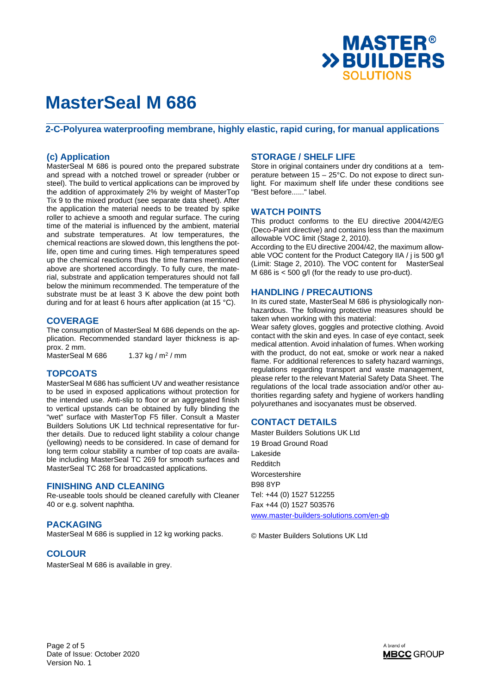

**2-C-Polyurea waterproofing membrane, highly elastic, rapid curing, for manual applications** 

### **(c) Application**

MasterSeal M 686 is poured onto the prepared substrate and spread with a notched trowel or spreader (rubber or steel). The build to vertical applications can be improved by the addition of approximately 2% by weight of MasterTop Tix 9 to the mixed product (see separate data sheet). After the application the material needs to be treated by spike roller to achieve a smooth and regular surface. The curing time of the material is influenced by the ambient, material and substrate temperatures. At low temperatures, the chemical reactions are slowed down, this lengthens the potlife, open time and curing times. High temperatures speed up the chemical reactions thus the time frames mentioned above are shortened accordingly. To fully cure, the material, substrate and application temperatures should not fall below the minimum recommended. The temperature of the substrate must be at least 3 K above the dew point both during and for at least 6 hours after application (at 15 °C).

#### **COVERAGE**

The consumption of MasterSeal M 686 depends on the application. Recommended standard layer thickness is approx. 2 mm. MasterSeal M 686 1.37 kg /  $m^2$  / mm

#### **TOPCOATS**

MasterSeal M 686 has sufficient UV and weather resistance to be used in exposed applications without protection for the intended use. Anti-slip to floor or an aggregated finish to vertical upstands can be obtained by fully blinding the "wet" surface with MasterTop F5 filler. Consult a Master Builders Solutions UK Ltd technical representative for further details. Due to reduced light stability a colour change (yellowing) needs to be considered. In case of demand for long term colour stability a number of top coats are available including MasterSeal TC 269 for smooth surfaces and MasterSeal TC 268 for broadcasted applications.

#### **FINISHING AND CLEANING**

Re-useable tools should be cleaned carefully with Cleaner 40 or e.g. solvent naphtha.

### **PACKAGING**

MasterSeal M 686 is supplied in 12 kg working packs.

### **COLOUR**

MasterSeal M 686 is available in grey.

### **STORAGE / SHELF LIFE**

Store in original containers under dry conditions at a temperature between 15 – 25°C. Do not expose to direct sunlight. For maximum shelf life under these conditions see "Best before......" label.

### **WATCH POINTS**

This product conforms to the EU directive 2004/42/EG (Deco-Paint directive) and contains less than the maximum allowable VOC limit (Stage 2, 2010).

According to the EU directive 2004/42, the maximum allowable VOC content for the Product Category IIA / j is 500 g/l (Limit: Stage 2, 2010). The VOC content for MasterSeal M 686 is < 500 g/l (for the ready to use pro-duct).

#### **HANDLING / PRECAUTIONS**

In its cured state, MasterSeal M 686 is physiologically nonhazardous. The following protective measures should be taken when working with this material:

Wear safety gloves, goggles and protective clothing. Avoid contact with the skin and eyes. In case of eye contact, seek medical attention. Avoid inhalation of fumes. When working with the product, do not eat, smoke or work near a naked flame. For additional references to safety hazard warnings, regulations regarding transport and waste management, please refer to the relevant Material Safety Data Sheet. The regulations of the local trade association and/or other authorities regarding safety and hygiene of workers handling polyurethanes and isocyanates must be observed.

#### **CONTACT DETAILS**

Master Builders Solutions UK Ltd 19 Broad Ground Road Lakeside Redditch Worcestershire B98 8YP Tel: +44 (0) 1527 512255 Fax +44 (0) 1527 503576 www.master-builders-solutions.com/en-gb

© Master Builders Solutions UK Ltd

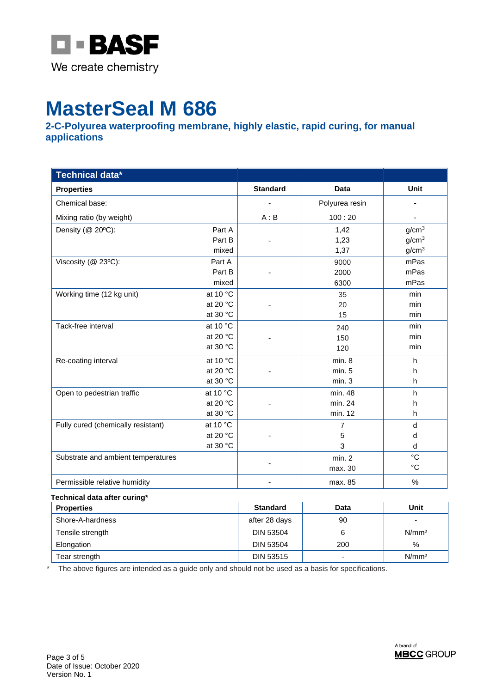

**2-C-Polyurea waterproofing membrane, highly elastic, rapid curing, for manual applications** 

| Technical data*                    |                    |                 |                |                   |
|------------------------------------|--------------------|-----------------|----------------|-------------------|
| <b>Properties</b>                  |                    | <b>Standard</b> | <b>Data</b>    | Unit              |
| Chemical base:                     |                    |                 | Polyurea resin | $\blacksquare$    |
| Mixing ratio (by weight)           |                    | A : B           | 100:20         |                   |
| Density (@ 20°C):                  | Part A             |                 | 1,42           | g/cm <sup>3</sup> |
|                                    | Part B             |                 | 1,23           | g/cm <sup>3</sup> |
|                                    | mixed              |                 | 1,37           | g/cm <sup>3</sup> |
| Viscosity (@ 23°C):                | Part A             |                 | 9000           | mPas              |
|                                    | Part B             |                 | 2000           | mPas              |
|                                    | mixed              |                 | 6300           | mPas              |
| Working time (12 kg unit)          | at 10 °C           |                 | 35             | min               |
|                                    | at 20 °C           |                 | 20             | min               |
|                                    | at 30 °C           |                 | 15             | min               |
| Tack-free interval                 | at 10 °C           |                 | 240            | min               |
|                                    | at 20 $^{\circ}$ C |                 | 150            | min               |
|                                    | at 30 °C           |                 | 120            | min               |
| Re-coating interval                | at 10 $\degree$ C  |                 | min.8          | h                 |
|                                    | at 20 °C           |                 | min. 5         | h                 |
|                                    | at 30 °C           |                 | min.3          | h                 |
| Open to pedestrian traffic         | at 10 °C           |                 | min. 48        | h                 |
|                                    | at 20 $^{\circ}$ C |                 | min. 24        | h                 |
|                                    | at 30 °C           |                 | min. 12        | h.                |
| Fully cured (chemically resistant) | at 10 $\degree$ C  |                 | $\overline{7}$ | d                 |
|                                    | at 20 °C           |                 | 5              | d                 |
|                                    | at 30 $^{\circ}$ C |                 | 3              | d                 |
| Substrate and ambient temperatures |                    |                 | min. 2         | $\rm ^{\circ}C$   |
|                                    |                    |                 | max. 30        | $^{\circ}C$       |
| Permissible relative humidity      |                    |                 | max. 85        | $\%$              |

#### **Technical data after curing\***

| <b>Properties</b> | <b>Standard</b>  | Data | Unit              |
|-------------------|------------------|------|-------------------|
| Shore-A-hardness  | after 28 days    | 90   |                   |
| Tensile strength  | <b>DIN 53504</b> |      | N/mm <sup>2</sup> |
| Elongation        | <b>DIN 53504</b> | 200  | $\%$              |
| Tear strength     | <b>DIN 53515</b> | -    | N/mm <sup>2</sup> |

\* The above figures are intended as a guide only and should not be used as a basis for specifications.

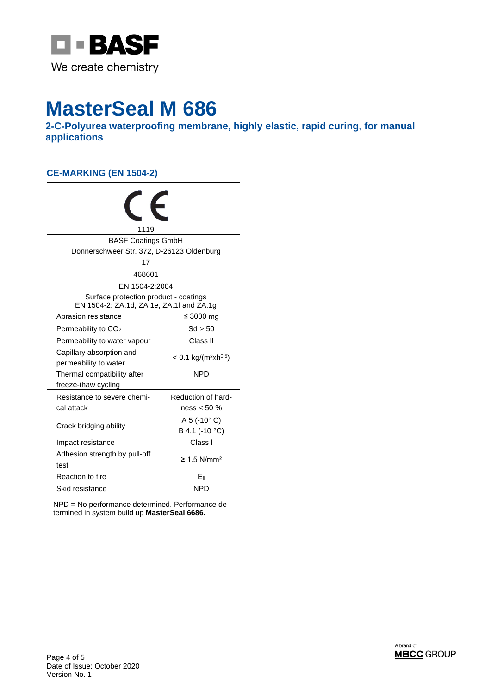

**2-C-Polyurea waterproofing membrane, highly elastic, rapid curing, for manual applications** 

## **CE-MARKING (EN 1504-2)**

| €                                                                                 |                                                |  |  |
|-----------------------------------------------------------------------------------|------------------------------------------------|--|--|
| 1119                                                                              |                                                |  |  |
| <b>BASF Coatings GmbH</b>                                                         |                                                |  |  |
|                                                                                   | Donnerschweer Str. 372, D-26123 Oldenburg      |  |  |
| 17                                                                                |                                                |  |  |
| 468601                                                                            |                                                |  |  |
| EN 1504-2:2004                                                                    |                                                |  |  |
| Surface protection product - coatings<br>EN 1504-2: ZA.1d, ZA.1e, ZA.1f and ZA.1g |                                                |  |  |
| Abrasion resistance                                                               | ≤ 3000 mg                                      |  |  |
| Permeability to CO <sub>2</sub>                                                   | Sd > 50                                        |  |  |
| Permeability to water vapour                                                      | Class II                                       |  |  |
| Capillary absorption and<br>permeability to water                                 | $< 0.1$ kg/(m <sup>2</sup> xh <sup>0,5</sup> ) |  |  |
| Thermal compatibility after<br>freeze-thaw cycling                                | <b>NPD</b>                                     |  |  |
| Resistance to severe chemi-<br>cal attack                                         | Reduction of hard-<br>ness $< 50 \%$           |  |  |
| Crack bridging ability                                                            | $A 5 (-10° C)$<br>B 4.1 (-10 °C)               |  |  |
| Impact resistance                                                                 | Class I                                        |  |  |
| Adhesion strength by pull-off<br>test                                             | $\geq 1.5$ N/mm <sup>2</sup>                   |  |  |
| Reaction to fire                                                                  | Efi                                            |  |  |
| Skid resistance                                                                   | <b>NPD</b>                                     |  |  |

NPD = No performance determined. Performance determined in system build up **MasterSeal 6686.**